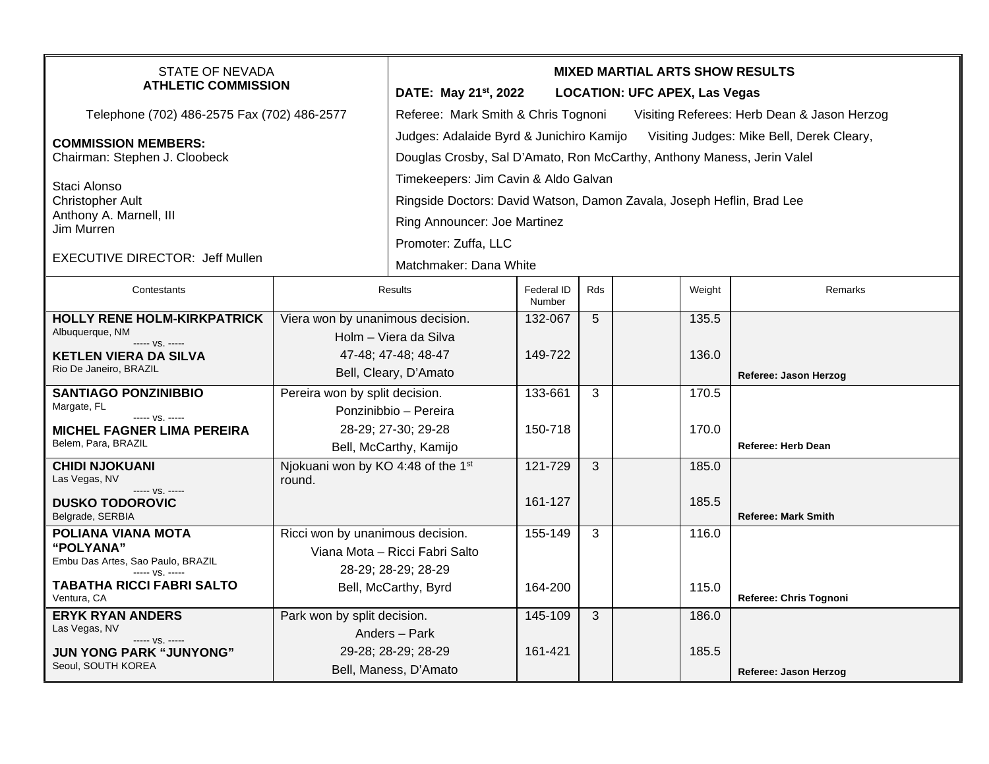| <b>STATE OF NEVADA</b><br><b>ATHLETIC COMMISSION</b>          |                                    | <b>MIXED MARTIAL ARTS SHOW RESULTS</b>                                                |                      |     |  |        |                            |  |  |
|---------------------------------------------------------------|------------------------------------|---------------------------------------------------------------------------------------|----------------------|-----|--|--------|----------------------------|--|--|
|                                                               |                                    | DATE: May 21 <sup>st</sup> , 2022<br><b>LOCATION: UFC APEX, Las Vegas</b>             |                      |     |  |        |                            |  |  |
| Telephone (702) 486-2575 Fax (702) 486-2577                   |                                    | Referee: Mark Smith & Chris Tognoni<br>Visiting Referees: Herb Dean & Jason Herzog    |                      |     |  |        |                            |  |  |
| <b>COMMISSION MEMBERS:</b>                                    |                                    | Judges: Adalaide Byrd & Junichiro Kamijo<br>Visiting Judges: Mike Bell, Derek Cleary, |                      |     |  |        |                            |  |  |
| Chairman: Stephen J. Cloobeck                                 |                                    | Douglas Crosby, Sal D'Amato, Ron McCarthy, Anthony Maness, Jerin Valel                |                      |     |  |        |                            |  |  |
| Staci Alonso                                                  |                                    | Timekeepers: Jim Cavin & Aldo Galvan                                                  |                      |     |  |        |                            |  |  |
| <b>Christopher Ault</b>                                       |                                    | Ringside Doctors: David Watson, Damon Zavala, Joseph Heflin, Brad Lee                 |                      |     |  |        |                            |  |  |
| Anthony A. Marnell, III<br>Jim Murren                         |                                    | Ring Announcer: Joe Martinez                                                          |                      |     |  |        |                            |  |  |
|                                                               |                                    | Promoter: Zuffa, LLC                                                                  |                      |     |  |        |                            |  |  |
| <b>EXECUTIVE DIRECTOR: Jeff Mullen</b>                        |                                    | Matchmaker: Dana White                                                                |                      |     |  |        |                            |  |  |
| Contestants                                                   |                                    | Results                                                                               | Federal ID<br>Number | Rds |  | Weight | Remarks                    |  |  |
| HOLLY RENE HOLM-KIRKPATRICK                                   | Viera won by unanimous decision.   |                                                                                       | 132-067              | 5   |  | 135.5  |                            |  |  |
| Albuquerque, NM<br>----- VS. -----                            |                                    | Holm - Viera da Silva                                                                 |                      |     |  |        |                            |  |  |
| <b>KETLEN VIERA DA SILVA</b>                                  | 47-48; 47-48; 48-47                |                                                                                       | 149-722              |     |  | 136.0  |                            |  |  |
| Rio De Janeiro, BRAZIL                                        | Bell, Cleary, D'Amato              |                                                                                       |                      |     |  |        | Referee: Jason Herzog      |  |  |
| <b>SANTIAGO PONZINIBBIO</b><br>Pereira won by split decision. |                                    |                                                                                       | 133-661              | 3   |  | 170.5  |                            |  |  |
| Margate, FL<br>----- VS. -----                                |                                    | Ponzinibbio - Pereira                                                                 |                      |     |  |        |                            |  |  |
| <b>MICHEL FAGNER LIMA PEREIRA</b>                             |                                    | 28-29; 27-30; 29-28                                                                   | 150-718              |     |  | 170.0  |                            |  |  |
| Belem, Para, BRAZIL                                           | Bell, McCarthy, Kamijo             |                                                                                       |                      |     |  |        | Referee: Herb Dean         |  |  |
| <b>CHIDI NJOKUANI</b><br>Las Vegas, NV                        | Njokuani won by KO 4:48 of the 1st |                                                                                       | 121-729              | 3   |  | 185.0  |                            |  |  |
| ----- VS. -----                                               | round.                             |                                                                                       |                      |     |  |        |                            |  |  |
| <b>DUSKO TODOROVIC</b><br>Belgrade, SERBIA                    |                                    |                                                                                       | 161-127              |     |  | 185.5  | <b>Referee: Mark Smith</b> |  |  |
| POLIANA VIANA MOTA                                            | Ricci won by unanimous decision.   |                                                                                       | 155-149              | 3   |  | 116.0  |                            |  |  |
| <b>"POLYANA"</b>                                              |                                    | Viana Mota - Ricci Fabri Salto                                                        |                      |     |  |        |                            |  |  |
| Embu Das Artes, Sao Paulo, BRAZIL<br>----- VS. -----          |                                    | 28-29; 28-29; 28-29                                                                   |                      |     |  |        |                            |  |  |
| <b>TABATHA RICCI FABRI SALTO</b><br>Ventura, CA               |                                    | Bell, McCarthy, Byrd                                                                  | 164-200              |     |  | 115.0  | Referee: Chris Tognoni     |  |  |
| <b>ERYK RYAN ANDERS</b>                                       | Park won by split decision.        |                                                                                       | 145-109              | 3   |  | 186.0  |                            |  |  |
| Las Vegas, NV<br>$--- vs. ---$                                |                                    | Anders - Park                                                                         |                      |     |  |        |                            |  |  |
| <b>JUN YONG PARK "JUNYONG"</b>                                |                                    | 29-28; 28-29; 28-29                                                                   | 161-421              |     |  | 185.5  |                            |  |  |
| Seoul, SOUTH KOREA                                            |                                    | Bell, Maness, D'Amato                                                                 |                      |     |  |        | Referee: Jason Herzog      |  |  |